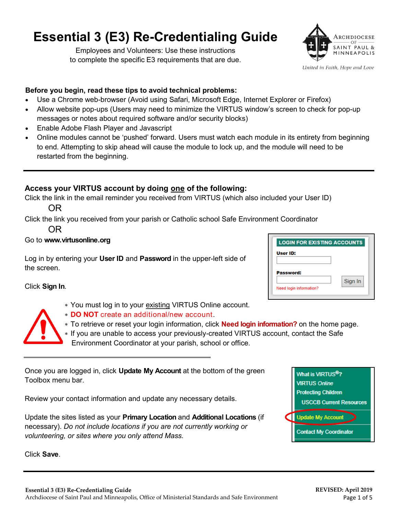# **Essential 3 (E3) Re-Credentialing Guide**

Employees and Volunteers: Use these instructions to complete the specific E3 requirements that are due.



United in Faith, Hope and Love

#### **Before you begin, read these tips to avoid technical problems:**

- Use a Chrome web-browser (Avoid using Safari, Microsoft Edge, Internet Explorer or Firefox)
- Allow website pop-ups (Users may need to minimize the VIRTUS window's screen to check for pop-up messages or notes about required software and/or security blocks)
- Enable Adobe Flash Player and Javascript
- Online modules cannot be 'pushed' forward. Users must watch each module in its entirety from beginning to end. Attempting to skip ahead will cause the module to lock up, and the module will need to be restarted from the beginning.

## **Access your VIRTUS account by doing one of the following:**

Click the link in the email reminder you received from VIRTUS (which also included your User ID)

OR

Click the link you received from your parish or Catholic school Safe Environment Coordinator

OR

#### Go to **www.virtusonline.org**

Log in by entering your **User ID** and **Password** in the upper-left side of the screen.

Click **Sign In**.

- You must log in to your existing VIRTUS Online account.
- **DO NOT** create an additional/new account.

 To retrieve or reset your login information, click **Need login information?** on the home page. If you are unable to access your previously-created VIRTUS account, contact the Safe

Environment Coordinator at your parish, school or office.

Once you are logged in, click **Update My Account** at the bottom of the green Toolbox menu bar.

Review your contact information and update any necessary details.

Update the sites listed as your **Primary Location** and **Additional Locations** (if necessary). *Do not include locations if you are not currently working or volunteering, or sites where you only attend Mass.* 

Click **Save**.

| Password:               |         |
|-------------------------|---------|
|                         | Sign In |
| Need login information? |         |

What is VIRTUS<sup>®</sup>? **VIRTUS Online Protecting Children** 

**Update My Account** 

**Contact My Coordinator** 

**USCCB Current Resources** 

**LOGIN FOR EXISTING ACCOUNTS**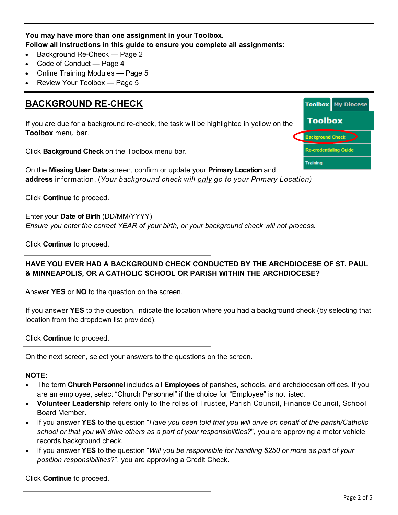## **You may have more than one assignment in your Toolbox. Follow all instructions in this guide to ensure you complete all assignments:**

- Background Re-Check Page 2
- Code of Conduct Page 4
- Online Training Modules Page 5
- Review Your Toolbox Page 5

#### **BACKGROUND RE-CHECK Toolbox** My Diocese Toolbox If you are due for a background re-check, the task will be highlighted in yellow on the **Toolbox** menu bar. **Background Check Re-credentialing Guide** Click **Background Check** on the Toolbox menu bar. **Training** On the **Missing User Data** screen, confirm or update your **Primary Location** and **address** information. (*Your background check will only go to your Primary Location)*

Click **Continue** to proceed.

Enter your **Date of Birth** (DD/MM/YYYY) *Ensure you enter the correct YEAR of your birth, or your background check will not process.*

Click **Continue** to proceed.

### **HAVE YOU EVER HAD A BACKGROUND CHECK CONDUCTED BY THE ARCHDIOCESE OF ST. PAUL & MINNEAPOLIS, OR A CATHOLIC SCHOOL OR PARISH WITHIN THE ARCHDIOCESE?**

Answer **YES** or **NO** to the question on the screen.

If you answer **YES** to the question, indicate the location where you had a background check (by selecting that location from the dropdown list provided).

Click **Continue** to proceed.

On the next screen, select your answers to the questions on the screen.

#### **NOTE:**

- The term **Church Personnel** includes all **Employees** of parishes, schools, and archdiocesan offices. If you are an employee, select "Church Personnel" if the choice for "Employee" is not listed.
- **Volunteer Leadership** refers only to the roles of Trustee, Parish Council, Finance Council, School Board Member.
- If you answer **YES** to the question "*Have you been told that you will drive on behalf of the parish/Catholic school or that you will drive others as a part of your responsibilities?*", you are approving a motor vehicle records background check.
- If you answer **YES** to the question "*Will you be responsible for handling \$250 or more as part of your position responsibilities*?", you are approving a Credit Check.

Click **Continue** to proceed.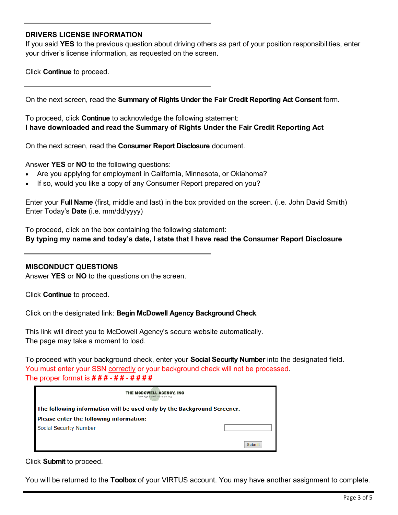#### **DRIVERS LICENSE INFORMATION**

If you said **YES** to the previous question about driving others as part of your position responsibilities, enter your driver's license information, as requested on the screen.

Click **Continue** to proceed.

On the next screen, read the **Summary of Rights Under the Fair Credit Reporting Act Consent** form.

To proceed, click **Continue** to acknowledge the following statement: **I have downloaded and read the Summary of Rights Under the Fair Credit Reporting Act**

On the next screen, read the **Consumer Report Disclosure** document.

Answer **YES** or **NO** to the following questions:

- Are you applying for employment in California, Minnesota, or Oklahoma?
- If so, would you like a copy of any Consumer Report prepared on you?

Enter your **Full Name** (first, middle and last) in the box provided on the screen. (i.e. John David Smith) Enter Today's **Date** (i.e. mm/dd/yyyy)

To proceed, click on the box containing the following statement: **By typing my name and today's date, I state that I have read the Consumer Report Disclosure**

#### **MISCONDUCT QUESTIONS**

Answer **YES** or **NO** to the questions on the screen.

Click **Continue** to proceed.

Click on the designated link: **Begin McDowell Agency Background Check**.

This link will direct you to McDowell Agency's secure website automatically. The page may take a moment to load.

To proceed with your background check, enter your **Social Security Number** into the designated field. You must enter your SSN correctly or your background check will not be processed. The proper format is **# # # - # # - # # # #**

| THE MCDOWELL AGENCY, INC<br>background screening                        |        |  |
|-------------------------------------------------------------------------|--------|--|
| The following information will be used only by the Background Screener. |        |  |
| Please enter the following information:                                 |        |  |
| Social Security Number                                                  |        |  |
|                                                                         | Submit |  |

Click **Submit** to proceed.

You will be returned to the **Toolbox** of your VIRTUS account. You may have another assignment to complete.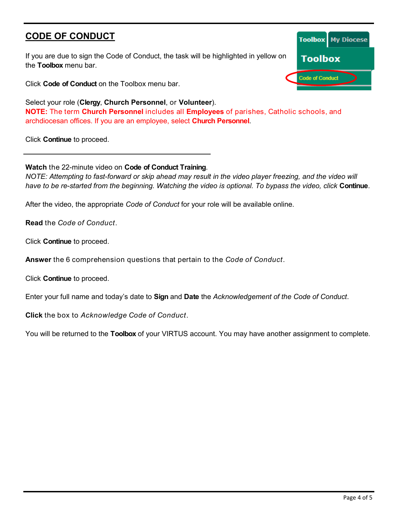# **CODE OF CONDUCT**

If you are due to sign the Code of Conduct, the task will be highlighted in yellow on the **Toolbox** menu bar.

Click **Code of Conduct** on the Toolbox menu bar.

Select your role (**Clergy**, **Church Personnel**, or **Volunteer**). **NOTE:** The term **Church Personnel** includes all **Employees** of parishes, Catholic schools, and archdiocesan offices. If you are an employee, select **Church Personnel**.

Click **Continue** to proceed.

**Watch** the 22-minute video on **Code of Conduct Training**.

*NOTE: Attempting to fast-forward or skip ahead may result in the video player freezing, and the video will have to be re-started from the beginning. Watching the video is optional. To bypass the video, click* **Continue**.

After the video, the appropriate *Code of Conduct* for your role will be available online.

**Read** the *Code of Conduct*.

Click **Continue** to proceed.

**Answer** the 6 comprehension questions that pertain to the *Code of Conduct*.

Click **Continue** to proceed.

Enter your full name and today's date to **Sign** and **Date** the *Acknowledgement of the Code of Conduct*.

**Click** the box to *Acknowledge Code of Conduct*.

You will be returned to the **Toolbox** of your VIRTUS account. You may have another assignment to complete.

|                        | <b>Toolbox</b> My Diocese |  |
|------------------------|---------------------------|--|
| <b>Toolbox</b>         |                           |  |
| <b>Code of Conduct</b> |                           |  |